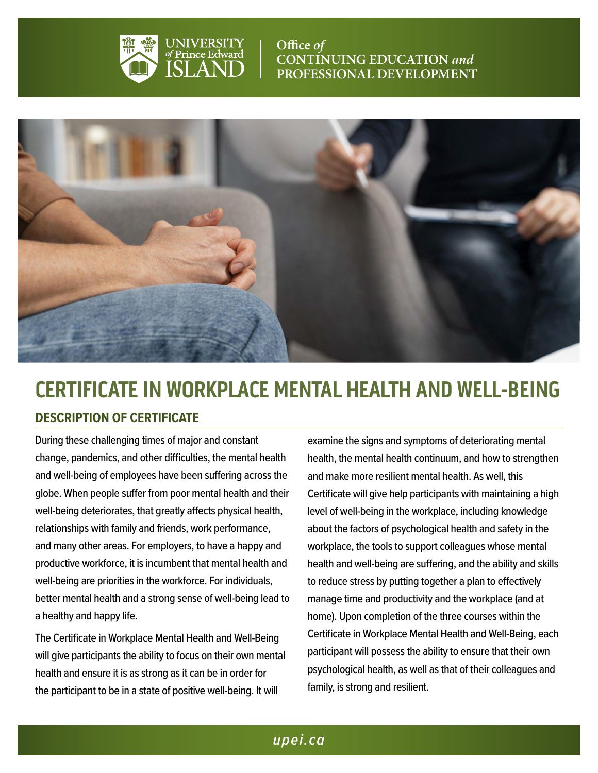

**Office** of **CONTINUING EDUCATION** *and* **PROFESSIONAL DEVELOPMENT**



# **CERTIFICATE IN WORKPLACE MENTAL HEALTH AND WELL-BEING**

# **DESCRIPTION OF CERTIFICATE**

During these challenging times of major and constant change, pandemics, and other difficulties, the mental health and well-being of employees have been suffering across the globe. When people suffer from poor mental health and their well-being deteriorates, that greatly affects physical health, relationships with family and friends, work performance, and many other areas. For employers, to have a happy and productive workforce, it is incumbent that mental health and well-being are priorities in the workforce. For individuals, better mental health and a strong sense of well-being lead to a healthy and happy life.

The Certificate in Workplace Mental Health and Well-Being will give participants the ability to focus on their own mental health and ensure it is as strong as it can be in order for the participant to be in a state of positive well-being. It will

examine the signs and symptoms of deteriorating mental health, the mental health continuum, and how to strengthen and make more resilient mental health. As well, this Certificate will give help participants with maintaining a high level of well-being in the workplace, including knowledge about the factors of psychological health and safety in the workplace, the tools to support colleagues whose mental health and well-being are suffering, and the ability and skills to reduce stress by putting together a plan to effectively manage time and productivity and the workplace (and at home). Upon completion of the three courses within the Certificate in Workplace Mental Health and Well-Being, each participant will possess the ability to ensure that their own psychological health, as well as that of their colleagues and family, is strong and resilient.